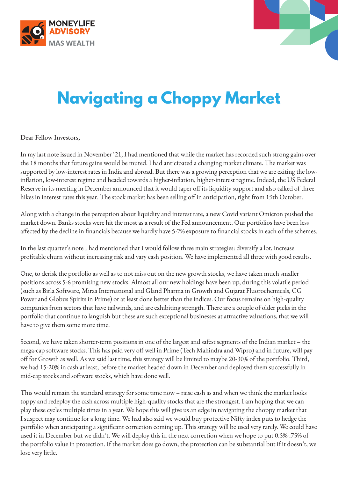



## **Navigating a Choppy Market**

Dear Fellow Investors,

In my last note issued in November '21, I had mentioned that while the market has recorded such strong gains over the 18 months that future gains would be muted. I had anticipated a changing market climate. The market was supported by low-interest rates in India and abroad. But there was a growing perception that we are exiting the lowinflation, low-interest regime and headed towards a higher-inflation, higher-interest regime. Indeed, the US Federal Reserve in its meeting in December announced that it would taper off its liquidity support and also talked of three hikes in interest rates this year. The stock market has been selling off in anticipation, right from 19th October.

Along with a change in the perception about liquidity and interest rate, a new Covid variant Omicron pushed the market down. Banks stocks were hit the most as a result of the Fed announcement. Our portfolios have been less affected by the decline in financials because we hardly have 5-7% exposure to financial stocks in each of the schemes.

In the last quarter's note I had mentioned that I would follow three main strategies: diversify a lot, increase profitable churn without increasing risk and vary cash position. We have implemented all three with good results.

One, to derisk the portfolio as well as to not miss out on the new growth stocks, we have taken much smaller positions across 5-6 promising new stocks. Almost all our new holdings have been up, during this volatile period (such as Birla Software, Mirza International and Gland Pharma in Growth and Gujarat Fluorochemicals, CG Power and Globus Spirits in Prime) or at least done better than the indices. Our focus remains on high-quality companies from sectors that have tailwinds, and are exhibiting strength. There are a couple of older picks in the portfolio that continue to languish but these are such exceptional businesses at attractive valuations, that we will have to give them some more time.

Second, we have taken shorter-term positions in one of the largest and safest segments of the Indian market – the mega-cap software stocks. This has paid very off well in Prime (Tech Mahindra and Wipro) and in future, will pay off for Growth as well. As we said last time, this strategy will be limited to maybe 20-30% of the portfolio. Third, we had 15-20% in cash at least, before the market headed down in December and deployed them successfully in mid-cap stocks and software stocks, which have done well.

This would remain the standard strategy for some time now – raise cash as and when we think the market looks toppy and redeploy the cash across multiple high-quality stocks that are the strongest. I am hoping that we can play these cycles multiple times in a year. We hope this will give us an edge in navigating the choppy market that I suspect may continue for a long time. We had also said we would buy protective Nifty index puts to hedge the portfolio when anticipating a significant correction coming up. This strategy will be used very rarely. We could have used it in December but we didn't. We will deploy this in the next correction when we hope to put 0.5%-.75% of the portfolio value in protection. If the market does go down, the protection can be substantial but if it doesn't, we lose very little.